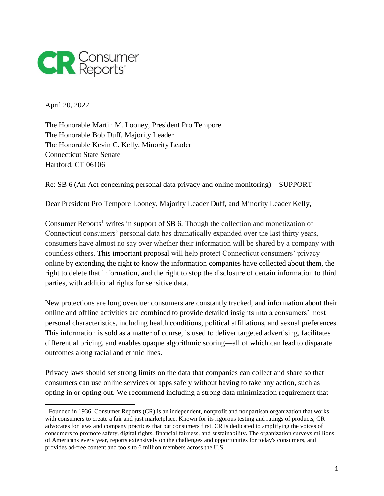

April 20, 2022

The Honorable Martin M. Looney, President Pro Tempore The Honorable Bob Duff, Majority Leader The Honorable Kevin C. Kelly, Minority Leader Connecticut State Senate Hartford, CT 06106

Re: SB 6 (An Act concerning personal data privacy and online monitoring) – SUPPORT

Dear President Pro Tempore Looney, Majority Leader Duff, and Minority Leader Kelly,

Consumer Reports<sup>1</sup> writes in support of SB 6. Though the collection and monetization of Connecticut consumers' personal data has dramatically expanded over the last thirty years, consumers have almost no say over whether their information will be shared by a company with countless others. This important proposal will help protect Connecticut consumers' privacy online by extending the right to know the information companies have collected about them, the right to delete that information, and the right to stop the disclosure of certain information to third parties, with additional rights for sensitive data.

New protections are long overdue: consumers are constantly tracked, and information about their online and offline activities are combined to provide detailed insights into a consumers' most personal characteristics, including health conditions, political affiliations, and sexual preferences. This information is sold as a matter of course, is used to deliver targeted advertising, facilitates differential pricing, and enables opaque algorithmic scoring—all of which can lead to disparate outcomes along racial and ethnic lines.

Privacy laws should set strong limits on the data that companies can collect and share so that consumers can use online services or apps safely without having to take any action, such as opting in or opting out. We recommend including a strong data minimization requirement that

<sup>1</sup> Founded in 1936, Consumer Reports (CR) is an independent, nonprofit and nonpartisan organization that works with consumers to create a fair and just marketplace. Known for its rigorous testing and ratings of products, CR advocates for laws and company practices that put consumers first. CR is dedicated to amplifying the voices of consumers to promote safety, digital rights, financial fairness, and sustainability. The organization surveys millions of Americans every year, reports extensively on the challenges and opportunities for today's consumers, and provides ad-free content and tools to 6 million members across the U.S.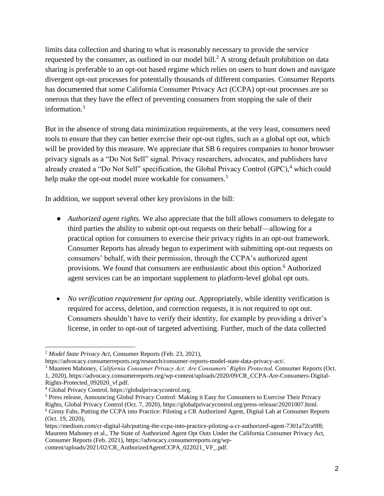limits data collection and sharing to what is reasonably necessary to provide the service requested by the consumer, as outlined in our model bill. <sup>2</sup> A strong default prohibition on data sharing is preferable to an opt-out based regime which relies on users to hunt down and navigate divergent opt-out processes for potentially thousands of different companies. Consumer Reports has documented that some California Consumer Privacy Act (CCPA) opt-out processes are so onerous that they have the effect of preventing consumers from stopping the sale of their information.<sup>3</sup>

But in the absence of strong data minimization requirements, at the very least, consumers need tools to ensure that they can better exercise their opt-out rights, such as a global opt out, which will be provided by this measure. We appreciate that SB 6 requires companies to honor browser privacy signals as a "Do Not Sell" signal. Privacy researchers, advocates, and publishers have already created a "Do Not Sell" specification, the Global Privacy Control  $(GPC)$ , which could help make the opt-out model more workable for consumers.<sup>5</sup>

In addition, we support several other key provisions in the bill:

- *Authorized agent rights*. We also appreciate that the bill allows consumers to delegate to third parties the ability to submit opt-out requests on their behalf—allowing for a practical option for consumers to exercise their privacy rights in an opt-out framework. Consumer Reports has already begun to experiment with submitting opt-out requests on consumers' behalf, with their permission, through the CCPA's authorized agent provisions. We found that consumers are enthusiastic about this option.<sup>6</sup> Authorized agent services can be an important supplement to platform-level global opt outs.
- *No verification requirement for opting out*. Appropriately, while identity verification is required for access, deletion, and correction requests, it is not required to opt out. Consumers shouldn't have to verify their identity, for example by providing a driver's license, in order to opt-out of targeted advertising. Further, much of the data collected

 $\overline{a}$ 

content/uploads/2021/02/CR\_AuthorizedAgentCCPA\_022021\_VF\_.pdf.

<sup>2</sup> *Model State Privacy Act*, Consumer Reports (Feb. 23, 2021),

https://advocacy.consumerreports.org/research/consumer-reports-model-state-data-privacy-act/.

<sup>&</sup>lt;sup>3</sup> Maureen Mahoney, *California Consumer Privacy Act: Are Consumers' Rights Protected, Consumer Reports (Oct.* 1, 2020), https://advocacy.consumerreports.org/wp-content/uploads/2020/09/CR\_CCPA-Are-Consumers-Digital-Rights-Protected\_092020\_vf.pdf.

<sup>4</sup> Global Privacy Control, https://globalprivacycontrol.org.

<sup>5</sup> Press release, Announcing Global Privacy Control: Making it Easy for Consumers to Exercise Their Privacy Rights, Global Privacy Control (Oct. 7, 2020), https://globalprivacycontrol.org/press-release/20201007.html. <sup>6</sup> Ginny Fahs, Putting the CCPA into Practice: Piloting a CR Authorized Agent, Digital Lab at Consumer Reports (Oct. 19, 2020),

https://medium.com/cr-digital-lab/putting-the-ccpa-into-practice-piloting-a-cr-authorized-agent-7301a72ca9f8; Maureen Mahoney et al., The State of Authorized Agent Opt Outs Under the California Consumer Privacy Act, Consumer Reports (Feb. 2021), https://advocacy.consumerreports.org/wp-